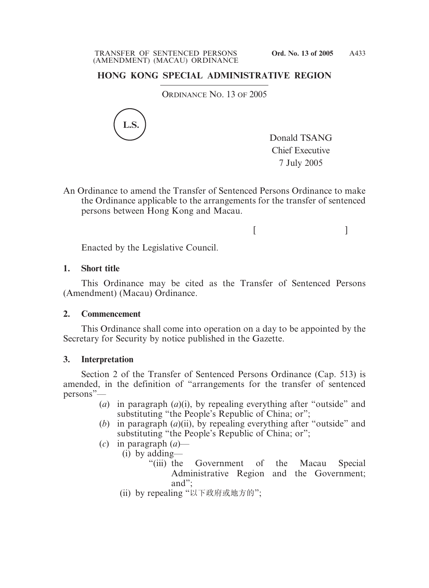# **HONG KONG SPECIAL ADMINISTRATIVE REGION**

ORDINANCE NO. 13 OF 2005



Donald TSANG Chief Executive 7 July 2005

 $[$   $]$ 

An Ordinance to amend the Transfer of Sentenced Persons Ordinance to make the Ordinance applicable to the arrangements for the transfer of sentenced persons between Hong Kong and Macau.

Enacted by the Legislative Council.

### **1. Short title**

This Ordinance may be cited as the Transfer of Sentenced Persons (Amendment) (Macau) Ordinance.

#### **2. Commencement**

This Ordinance shall come into operation on a day to be appointed by the Secretary for Security by notice published in the Gazette.

#### **3. Interpretation**

Section 2 of the Transfer of Sentenced Persons Ordinance (Cap. 513) is amended, in the definition of "arrangements for the transfer of sentenced persons"—

- (*a*) in paragraph (*a*)(i), by repealing everything after "outside" and substituting "the People's Republic of China; or";
- (*b*) in paragraph (*a*)(ii), by repealing everything after "outside" and substituting "the People's Republic of China; or";
- (*c*) in paragraph (*a*)—
	- (i) by adding—
		- "(iii) the Government of the Macau Special Administrative Region and the Government; and";
	- (ii) by repealing "以下政府或地方的";